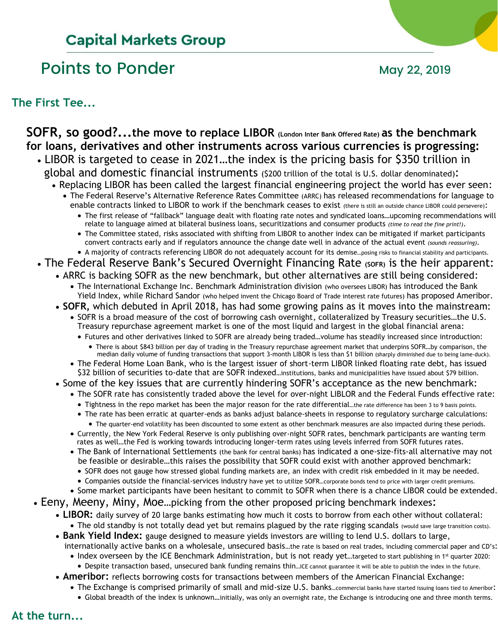## **Capital Markets Group**

## Points to Ponder May 22, 2019

**The First Tee...**

#### **SOFR, so good?...the move to replace LIBOR (London Inter Bank Offered Rate) as the benchmark for loans, derivatives and other instruments across various currencies is progressing:** • LIBOR is targeted to cease in 2021…the index is the pricing basis for \$350 trillion in global and domestic financial instruments (\$200 trillion of the total is U.S. dollar denominated): • Replacing LIBOR has been called the largest financial engineering project the world has ever seen: • The Federal Reserve's Alternative Reference Rates Committee (ARRC) has released recommendations for language to enable contracts linked to LIBOR to work if the benchmark ceases to exist (there is still an outside chance LIBOR could persevere): • The first release of "fallback" language dealt with floating rate notes and syndicated loans…upcoming recommendations will relate to language aimed at bilateral business loans, securitizations and consumer products *(time to read the fine print!)*. • The Committee stated, risks associated with shifting from LIBOR to another index can be mitigated if market participants convert contracts early and if regulators announce the change date well in advance of the actual event *(sounds reassuring)*. • A majority of contracts referencing LIBOR do not adequately account for its demise…posing risks to financial stability and participants. • The Federal Reserve Bank's Secured Overnight Financing Rate (SOFR) is the heir apparent: • ARRC is backing SOFR as the new benchmark, but other alternatives are still being considered: • The International Exchange Inc. Benchmark Administration division (who oversees LIBOR) has introduced the Bank Yield Index, while Richard Sandor (who helped invent the Chicago Board of Trade interest rate futures) has proposed Ameribor. • **SOFR,** which debuted in April 2018, has had some growing pains as it moves into the mainstream: • SOFR is a broad measure of the cost of borrowing cash overnight, collateralized by Treasury securities…the U.S. Treasury repurchase agreement market is one of the most liquid and largest in the global financial arena: • Futures and other derivatives linked to SOFR are already being traded…volume has steadily increased since introduction: • There is about \$843 billion per day of trading in the Treasury repurchase agreement market that underpins SOFR…by comparison, the median daily volume of funding transactions that support 3-month LIBOR is less than \$1 billion (sharply diminished due to being lame-duck). • The Federal Home Loan Bank, who is the largest issuer of short-term LIBOR linked floating rate debt, has issued \$32 billion of securities to-date that are SOFR indexed...institutions, banks and municipalities have issued about \$79 billion. • Some of the key issues that are currently hindering SOFR's acceptance as the new benchmark: • The SOFR rate has consistently traded above the level for over-night LIBLOR and the Federal Funds effective rate: • Tightness in the repo market has been the major reason for the rate differential...the rate difference has been 3 to 9 basis points. • The rate has been erratic at quarter-ends as banks adjust balance-sheets in response to regulatory surcharge calculations: • The quarter-end volatility has been discounted to some extent as other benchmark measures are also impacted during these periods. • Currently, the New York Federal Reserve is only publishing over-night SOFR rates, benchmark participants are wanting term rates as well…the Fed is working towards introducing longer-term rates using levels inferred from SOFR futures rates. • The Bank of International Settlements (the bank for central banks) has indicated a one-size-fits-all alternative may not be feasible or desirable…this raises the possibility that SOFR could exist with another approved benchmark: • SOFR does not gauge how stressed global funding markets are, an index with credit risk embedded in it may be needed. • Companies outside the financial-services industry have yet to utilize SOFR…corporate bonds tend to price with larger credit premiums. • Some market participants have been hesitant to commit to SOFR when there is a chance LIBOR could be extended. • Eeny, Meeny, Miny, Moe…picking from the other proposed pricing benchmark indexes: • **LIBOR:** daily survey of 20 large banks estimating how much it costs to borrow from each other without collateral: • The old standby is not totally dead yet but remains plagued by the rate rigging scandals (would save large transition costs). • **Bank Yield Index:** gauge designed to measure yields investors are willing to lend U.S. dollars to large, internationally active banks on a wholesale, unsecured basis…the rate is based on real trades, including commercial paper and CD's: • Index overseen by the ICE Benchmark Administration, but is not ready yet...targeted to start publishing in 1<sup>st</sup> quarter 2020: • Despite transaction based, unsecured bank funding remains thin…ICE cannot guarantee it will be able to publish the index in the future. • **Ameribor:** reflects borrowing costs for transactions between members of the American Financial Exchange: • The Exchange is comprised primarily of small and mid-size U.S. banks...commercial banks have started issuing loans tied to Ameribor:

• Global breadth of the index is unknown…initially, was only an overnight rate, the Exchange is introducing one and three month terms.